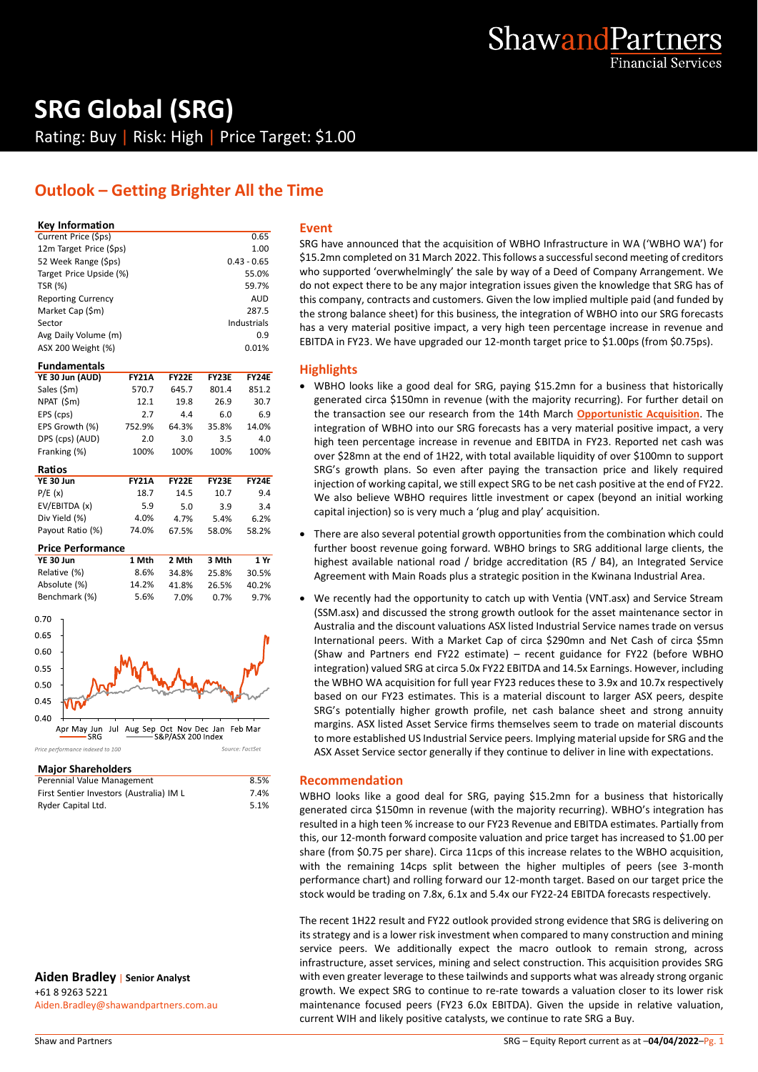

## **SRG Global (SRG)** Rating: Buy | Risk: High | Price Target: \$1.00

## **Outlook – Getting Brighter All the Time**

#### **Key Information**

| Current Price (\$ps)      | 0.65          | S  |
|---------------------------|---------------|----|
| 12m Target Price (\$ps)   | 1.00          |    |
| 52 Week Range (\$ps)      | $0.43 - 0.65$ | \$ |
| Target Price Upside (%)   | 55.0%         | ٧  |
| <b>TSR (%)</b>            | 59.7%         | d  |
| <b>Reporting Currency</b> | <b>AUD</b>    | tl |
| Market Cap (\$m)          | 287.5         | tl |
| Sector                    | Industrials   | h  |
| Avg Daily Volume (m)      | 0.9           | E  |
| ASX 200 Weight (%)        | 0.01%         |    |
|                           |               |    |

| <b>FY21A</b> | <b>FY22F</b> | <b>FY23E</b> | <b>FY24E</b> |
|--------------|--------------|--------------|--------------|
| 570.7        | 645.7        | 801.4        | 851.2        |
| 12.1         | 19.8         | 26.9         | 30.7         |
| 2.7          | 4.4          | 6.0          | 6.9          |
| 752.9%       | 64.3%        | 35.8%        | 14.0%        |
| 2.0          | 3.0          | 3.5          | 4.0          |
| 100%         | 100%         | 100%         | 100%         |
|              |              |              |              |

| <b>FY21A</b> | <b>FY22F</b> | <b>FY23F</b> | FY24F |
|--------------|--------------|--------------|-------|
| 18.7         | 14.5         | 10.7         | 9.4   |
| 5.9          | 5.0          | 3.9          | 3.4   |
| 4.0%         | 4.7%         | 5.4%         | 6.2%  |
| 74.0%        | 67.5%        | 58.0%        | 58.2% |
|              |              |              |       |

#### **Price Performance**

| YE 30 Jun     | 1 Mth | 2 Mth | 3 Mth | 1 Yr  |
|---------------|-------|-------|-------|-------|
| Relative (%)  | 8.6%  | 34.8% | 25.8% | 30.5% |
| Absolute (%)  | 14.2% | 41.8% | 26.5% | 40.2% |
| Benchmark (%) | 5.6%  | 7.0%  | 0.7%  | 9.7%  |



#### **Major Shareholders**

| Perennial Value Management               | 8.5% |  |
|------------------------------------------|------|--|
| First Sentier Investors (Australia) IM L | 7.4% |  |
| Ryder Capital Ltd.                       | 5.1% |  |

**Aiden Bradley** | **Senior Analyst** +61 8 9263 5221 Aiden.Bradley@shawandpartners.com.au

#### **Event**

SRG have announced that the acquisition of WBHO Infrastructure in WA ('WBHO WA') for \$15.2mn completed on 31 March 2022. This follows a successful second meeting of creditors who supported 'overwhelmingly' the sale by way of a Deed of Company Arrangement. We do not expect there to be any major integration issues given the knowledge that SRG has of this company, contracts and customers. Given the low implied multiple paid (and funded by the strong balance sheet) for this business, the integration of WBHO into our SRG forecasts has a very material positive impact, a very high teen percentage increase in revenue and EBITDA in FY23. We have upgraded our 12-month target price to \$1.00ps (from \$0.75ps).

#### **Highlights**

- WBHO looks like a good deal for SRG, paying \$15.2mn for a business that historically generated circa \$150mn in revenue (with the majority recurring). For further detail on the transaction see our research from the 14th March **[Opportunistic Acquisition](https://publications.shawandpartners.com.au/downloadreport.aspx?id=PFUSTBXUD9AWZWUT13QV)**. The integration of WBHO into our SRG forecasts has a very material positive impact, a very high teen percentage increase in revenue and EBITDA in FY23. Reported net cash was over \$28mn at the end of 1H22, with total available liquidity of over \$100mn to support SRG's growth plans. So even after paying the transaction price and likely required injection of working capital, we still expect SRG to be net cash positive at the end of FY22. We also believe WBHO requires little investment or capex (beyond an initial working capital injection) so is very much a 'plug and play' acquisition.
- There are also several potential growth opportunities from the combination which could further boost revenue going forward. WBHO brings to SRG additional large clients, the highest available national road / bridge accreditation (R5 / B4), an Integrated Service Agreement with Main Roads plus a strategic position in the Kwinana Industrial Area.
- We recently had the opportunity to catch up with Ventia (VNT.asx) and Service Stream (SSM.asx) and discussed the strong growth outlook for the asset maintenance sector in Australia and the discount valuations ASX listed Industrial Service names trade on versus International peers. With a Market Cap of circa \$290mn and Net Cash of circa \$5mn (Shaw and Partners end FY22 estimate) – recent guidance for FY22 (before WBHO integration) valued SRG at circa 5.0x FY22 EBITDA and 14.5x Earnings. However, including the WBHO WA acquisition for full year FY23 reduces these to 3.9x and 10.7x respectively based on our FY23 estimates. This is a material discount to larger ASX peers, despite SRG's potentially higher growth profile, net cash balance sheet and strong annuity margins. ASX listed Asset Service firms themselves seem to trade on material discounts to more established US Industrial Service peers. Implying material upside for SRG and the ASX Asset Service sector generally if they continue to deliver in line with expectations.

#### **Recommendation**

WBHO looks like a good deal for SRG, paying \$15.2mn for a business that historically generated circa \$150mn in revenue (with the majority recurring). WBHO's integration has resulted in a high teen % increase to our FY23 Revenue and EBITDA estimates. Partially from this, our 12-month forward composite valuation and price target has increased to \$1.00 per share (from \$0.75 per share). Circa 11cps of this increase relates to the WBHO acquisition, with the remaining 14cps split between the higher multiples of peers (see 3-month performance chart) and rolling forward our 12-month target. Based on our target price the stock would be trading on 7.8x, 6.1x and 5.4x our FY22-24 EBITDA forecasts respectively.

The recent 1H22 result and FY22 outlook provided strong evidence that SRG is delivering on its strategy and is a lower risk investment when compared to many construction and mining service peers. We additionally expect the macro outlook to remain strong, across infrastructure, asset services, mining and select construction. This acquisition provides SRG with even greater leverage to these tailwinds and supports what was already strong organic growth. We expect SRG to continue to re-rate towards a valuation closer to its lower risk maintenance focused peers (FY23 6.0x EBITDA). Given the upside in relative valuation, current WIH and likely positive catalysts, we continue to rate SRG a Buy.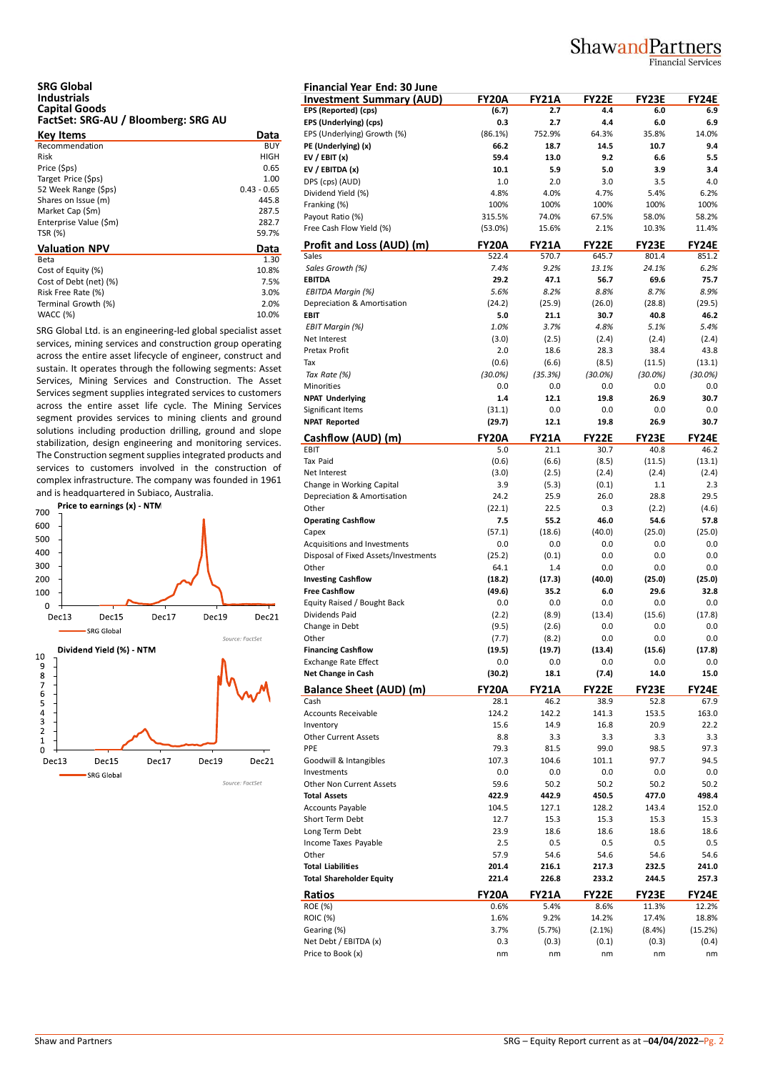## ShawandPartners

**Financial Services** 

# **SRG Global Industrials Capital Goods FactSet: SRG-AU / Bloomberg: SRG AU**

| Data          | EP. |
|---------------|-----|
| BUY           | PE  |
| HIGH          | EV  |
| 0.65          | EV  |
| 1.00          | DP  |
| $0.43 - 0.65$ | Di  |
| 445.8         | Fra |
| 287.5         | Pa  |
| 282.7         | Fre |
| 59.7%         |     |
| Data          | Pr  |
| 1.30          | Sal |
| 10.8%         | Sc  |
| 7.5%          | EB  |
| 3.0%          | ΕE  |
| 2.0%          | De  |
| 10.0%         | EB  |
|               |     |

SRG Global Ltd. is an engineering-led global specialist asset services, mining services and construction group operating across the entire asset lifecycle of engineer, construct and sustain. It operates through the following segments: Asset Services, Mining Services and Construction. The Asset Services segment supplies integrated services to customers across the entire asset life cycle. The Mining Services segment provides services to mining clients and ground solutions including production drilling, ground and slope stabilization, design engineering and monitoring services. The Construction segment supplies integrated products and services to customers involved in the construction of complex infrastructure. The company was founded in 1961 and is headquartered in Subiaco, Australia.



| <b>Financial Year End: 30 June</b>              |               |                      |                      |               |              |
|-------------------------------------------------|---------------|----------------------|----------------------|---------------|--------------|
| <b>Investment Summary (AUD)</b>                 | <b>FY20A</b>  | <b>FY21A</b>         | <b>FY22E</b>         | <b>FY23E</b>  | FY24E        |
| EPS (Reported) (cps)                            | (6.7)         | 2.7                  | 4.4                  | 6.0           | 6.9          |
| EPS (Underlying) (cps)                          | 0.3           | 2.7                  | 4.4                  | 6.0           | 6.9          |
| EPS (Underlying) Growth (%)                     | (86.1%)       | 752.9%               | 64.3%                | 35.8%         | 14.0%        |
| PE (Underlying) (x)                             | 66.2          | 18.7                 | 14.5                 | 10.7          | 9.4          |
| EV / EBIT $(x)$                                 | 59.4          | 13.0                 | 9.2                  | 6.6           | 5.5          |
| EV / EBITDA (x)                                 | 10.1          | 5.9                  | 5.0                  | 3.9           | 3.4          |
| DPS (cps) (AUD)                                 | 1.0           | 2.0                  | 3.0                  | 3.5           | 4.0          |
| Dividend Yield (%)                              | 4.8%          | 4.0%                 | 4.7%                 | 5.4%          | 6.2%         |
| Franking (%)                                    | 100%          | 100%                 | 100%                 | 100%          | 100%         |
| Payout Ratio (%)                                | 315.5%        | 74.0%                | 67.5%                | 58.0%         | 58.2%        |
| Free Cash Flow Yield (%)                        | $(53.0\%)$    | 15.6%                | 2.1%                 | 10.3%         | 11.4%        |
| Profit and Loss (AUD) (m)                       | <b>FY20A</b>  | <b>FY21A</b>         | <b>FY22E</b>         | FY23E         | FY24E        |
| Sales                                           | 522.4         | 570.7                | 645.7                | 801.4         | 851.2        |
| Sales Growth (%)                                | 7.4%          | 9.2%                 | 13.1%                | 24.1%         | 6.2%         |
| <b>EBITDA</b>                                   | 29.2          | 47.1                 | 56.7                 | 69.6          | 75.7         |
| EBITDA Margin (%)                               | 5.6%          | 8.2%                 | 8.8%                 | 8.7%          | 8.9%         |
| Depreciation & Amortisation                     | (24.2)        | (25.9)               | (26.0)               | (28.8)        | (29.5)       |
| <b>EBIT</b>                                     | 5.0           | 21.1                 | 30.7                 | 40.8          | 46.2         |
| <b>EBIT Margin (%)</b>                          | 1.0%          | 3.7%                 | 4.8%                 | 5.1%          | 5.4%         |
| Net Interest                                    | (3.0)         | (2.5)                | (2.4)                | (2.4)         | (2.4)        |
| Pretax Profit                                   | 2.0           | 18.6                 | 28.3                 | 38.4          | 43.8         |
| Tax                                             | (0.6)         | (6.6)                | (8.5)                | (11.5)        | (13.1)       |
| Tax Rate (%)                                    | $(30.0\%)$    | (35.3%)              | $(30.0\%)$           | $(30.0\%)$    | $(30.0\%)$   |
| Minorities                                      | 0.0           | 0.0                  | 0.0                  | 0.0           | 0.0          |
| <b>NPAT Underlying</b>                          | 1.4           | 12.1                 | 19.8                 | 26.9          | 30.7         |
| Significant Items                               | (31.1)        | 0.0                  | 0.0                  | 0.0           | 0.0          |
| <b>NPAT Reported</b>                            | (29.7)        | 12.1                 | 19.8                 | 26.9          | 30.7         |
|                                                 |               |                      |                      |               |              |
| Cashflow (AUD) (m)                              | <b>FY20A</b>  | <b>FY21A</b>         | <b>FY22E</b>         | <b>FY23E</b>  | FY24E        |
| EBIT                                            | 5.0           | 21.1                 | 30.7                 | 40.8          | 46.2         |
| Tax Paid                                        | (0.6)         | (6.6)                | (8.5)                | (11.5)        | (13.1)       |
| Net Interest                                    | (3.0)         | (2.5)                | (2.4)                | (2.4)         | (2.4)        |
| Change in Working Capital                       | 3.9           | (5.3)                | (0.1)                | 1.1           | 2.3          |
| Depreciation & Amortisation                     | 24.2          | 25.9                 | 26.0                 | 28.8          | 29.5         |
| Other                                           | (22.1)        | 22.5                 | 0.3                  | (2.2)         | (4.6)        |
| <b>Operating Cashflow</b>                       | 7.5           | 55.2                 | 46.0                 | 54.6          | 57.8         |
| Capex                                           | (57.1)        | (18.6)               | (40.0)               | (25.0)        | (25.0)       |
| Acquisitions and Investments                    | 0.0           | 0.0                  | 0.0                  | 0.0           | 0.0          |
| Disposal of Fixed Assets/Investments            | (25.2)        | (0.1)                | 0.0                  | 0.0           | 0.0          |
| Other                                           | 64.1          | 1.4                  | 0.0                  | 0.0           | 0.0          |
| <b>Investing Cashflow</b>                       | (18.2)        | (17.3)               | (40.0)               | (25.0)        | (25.0)       |
| <b>Free Cashflow</b>                            | (49.6)        | 35.2                 | 6.0                  | 29.6          | 32.8         |
| Equity Raised / Bought Back                     | 0.0           | 0.0                  | 0.0                  | 0.0           | 0.0          |
| Dividends Paid                                  | (2.2)         | (8.9)                | (13.4)               | (15.6)        | (17.8)       |
| Change in Debt                                  | (9.5)         | (2.6)                | 0.0                  | 0.0           | 0.0          |
| Other                                           | (7.7)         | (8.2)                | 0.0                  | 0.0           | 0.0          |
| <b>Financing Cashflow</b>                       | (19.5)        | (19.7)               | (13.4)               | (15.6)        | (17.8)       |
| <b>Exchange Rate Effect</b>                     | 0.0           | 0.0                  | 0.0                  | 0.0           | 0.0          |
| Net Change in Cash                              | (30.2)        | 18.1                 | (7.4)                | 14.0          | 15.0         |
|                                                 |               |                      |                      |               | <b>FY24E</b> |
| <b>Balance Sheet (AUD) (m)</b><br>Cash          | FY20A<br>28.1 | <b>FY21A</b><br>46.2 | <b>FY22E</b><br>38.9 | FY23E<br>52.8 | 67.9         |
| <b>Accounts Receivable</b>                      | 124.2         | 142.2                | 141.3                | 153.5         | 163.0        |
| Inventory                                       | 15.6          | 14.9                 | 16.8                 | 20.9          | 22.2         |
| <b>Other Current Assets</b>                     | 8.8           | 3.3                  | 3.3                  | 3.3           | 3.3          |
| PPE                                             | 79.3          | 81.5                 | 99.0                 | 98.5          | 97.3         |
| Goodwill & Intangibles                          | 107.3         | 104.6                | 101.1                | 97.7          | 94.5         |
| Investments                                     | 0.0           | 0.0                  | 0.0                  | 0.0           | 0.0          |
|                                                 | 59.6          |                      |                      |               |              |
| Other Non Current Assets<br><b>Total Assets</b> |               | 50.2                 | 50.2                 | 50.2          | 50.2         |
|                                                 | 422.9         | 442.9                | 450.5                | 477.0         | 498.4        |
| Accounts Payable                                | 104.5         | 127.1                | 128.2                | 143.4         | 152.0        |
| Short Term Debt                                 | 12.7          | 15.3                 | 15.3                 | 15.3          | 15.3         |
| Long Term Debt                                  | 23.9          | 18.6                 | 18.6                 | 18.6          | 18.6         |
| Income Taxes Payable                            | 2.5           | 0.5                  | 0.5                  | 0.5           | 0.5          |
| Other                                           | 57.9          | 54.6                 | 54.6                 | 54.6          | 54.6         |
| <b>Total Liabilities</b>                        | 201.4         | 216.1                | 217.3                | 232.5         | 241.0        |
| <b>Total Shareholder Equity</b>                 | 221.4         | 226.8                | 233.2                | 244.5         | 257.3        |
| Ratios                                          | FY20A         | <b>FY21A</b>         | <b>FY22E</b>         | FY23E         | FY24E        |
| ROE (%)                                         | 0.6%          | 5.4%                 | 8.6%                 | 11.3%         | 12.2%        |
| <b>ROIC (%)</b>                                 | 1.6%          | 9.2%                 | 14.2%                | 17.4%         | 18.8%        |
| Gearing (%)                                     | 3.7%          | (5.7%)               | (2.1%)               | (8.4%)        | (15.2%)      |
| Net Debt / EBITDA (x)                           | 0.3           | (0.3)                | (0.1)                | (0.3)         | (0.4)        |
| Price to Book (x)                               | nm            | nm                   | nm                   | nm            | nm           |
|                                                 |               |                      |                      |               |              |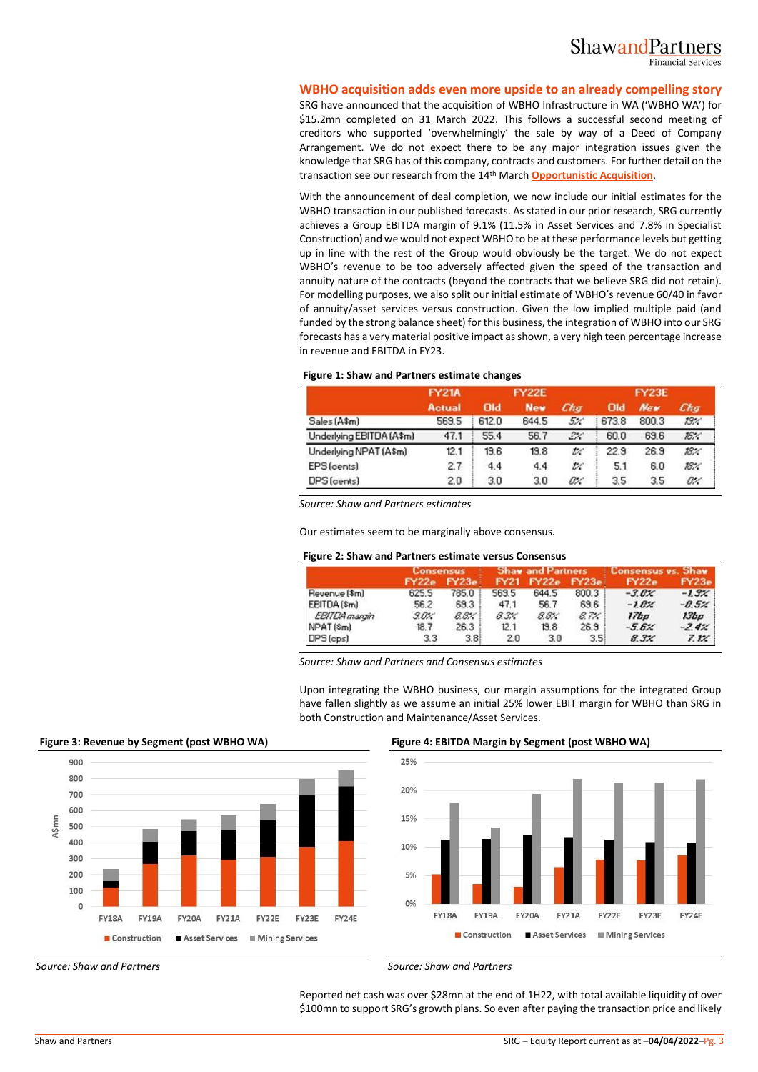

#### **WBHO acquisition adds even more upside to an already compelling story**

SRG have announced that the acquisition of WBHO Infrastructure in WA ('WBHO WA') for \$15.2mn completed on 31 March 2022. This follows a successful second meeting of creditors who supported 'overwhelmingly' the sale by way of a Deed of Company Arrangement. We do not expect there to be any major integration issues given the knowledge that SRG has of this company, contracts and customers. For further detail on the transaction see our research from the 14th March **[Opportunistic Acquisition](https://publications.shawandpartners.com.au/downloadreport.aspx?id=PFUSTBXUD9AWZWUT13QV)**.

With the announcement of deal completion, we now include our initial estimates for the WBHO transaction in our published forecasts. As stated in our prior research, SRG currently achieves a Group EBITDA margin of 9.1% (11.5% in Asset Services and 7.8% in Specialist Construction) and we would not expect WBHO to be at these performance levels but getting up in line with the rest of the Group would obviously be the target. We do not expect WBHO's revenue to be too adversely affected given the speed of the transaction and annuity nature of the contracts (beyond the contracts that we believe SRG did not retain). For modelling purposes, we also split our initial estimate of WBHO's revenue 60/40 in favor of annuity/asset services versus construction. Given the low implied multiple paid (and funded by the strong balance sheet) for this business, the integration of WBHO into our SRG forecasts has a very material positive impact as shown, a very high teen percentage increase in revenue and EBITDA in FY23.

#### **Figure 1: Shaw and Partners estimate changes**

|                          | <b>FY22E</b><br><b>FY21A</b> |       |            | <b>FY23E</b> |       |            |      |
|--------------------------|------------------------------|-------|------------|--------------|-------|------------|------|
|                          | <b>Actual</b>                | Old   | <b>New</b> | Chq          | Old   | <b>New</b> | Chg  |
| Sales (A\$m)             | 569.5                        | 612.0 | 644.5      | 5:           | 673.8 | 800.3      | 19:1 |
| Underlying EBITDA (A\$m) | 47.1                         | 55.4  | 56.7       | 2%           | 60.0  | 69.6       | 16:  |
| Underlying NPAT (A\$m)   | 12.1                         | 13.6  | 19.8       | $t$ .        | 22.9  | 26.9       | 18%  |
| EPS (cents)              | 2.7                          | 4.4   | 4.4        | t            | 5.1   | 6.0        | 18%  |
| DPS (cents)              | 2.0                          | 3.0   | 3.0        | s:           | 3.5   | 3.5        | Oʻz" |

*Source: Shaw and Partners estimates*

Our estimates seem to be marginally above consensus.

#### **Figure 2: Shaw and Partners estimate versus Consensus**

|                       | Consensus |                  |             | <b>Shaw and Partners</b> |       | <b>Consensus vs. Shav</b> |         |
|-----------------------|-----------|------------------|-------------|--------------------------|-------|---------------------------|---------|
|                       | FY22e     | FY23e            | <b>FY21</b> | FY22e                    | FY23e | <b>FY22e</b>              | FY23e   |
| Revenue (\$m)         | 625.5     | 785.0            | 569.5       | 644.5                    | 800.3 | $-3.6%$                   | $-1.9%$ |
| EBITDA (\$m)          | 56.2      | 69.3             | 47.1        | 56.7                     | 69.6  | $-1.02$                   | $-0.5x$ |
| EBITDA manzin         | 90%       | 88%              | 8.3%        | 8.8%                     | 87%   | 17bp                      | $13b$ a |
| NPAT <sub>(\$m)</sub> | 18.7      | 26.3             | 12.1        | 19.8                     | 26.9  | $-5.6x$                   | $-2.4%$ |
| DPS (cps)             | 3.3       | 3.8 <sub>1</sub> | 2.0         | 3.0                      | 3.5   | $8.3\%$                   | 7.1%    |

*Source: Shaw and Partners and Consensus estimates*

Upon integrating the WBHO business, our margin assumptions for the integrated Group have fallen slightly as we assume an initial 25% lower EBIT margin for WBHO than SRG in both Construction and Maintenance/Asset Services.



**Figure 3: Revenue by Segment (post WBHO WA) Figure 4: EBITDA Margin by Segment (post WBHO WA)**



*Source: Shaw and Partners Source: Shaw and Partners*

Reported net cash was over \$28mn at the end of 1H22, with total available liquidity of over \$100mn to support SRG's growth plans. So even after paying the transaction price and likely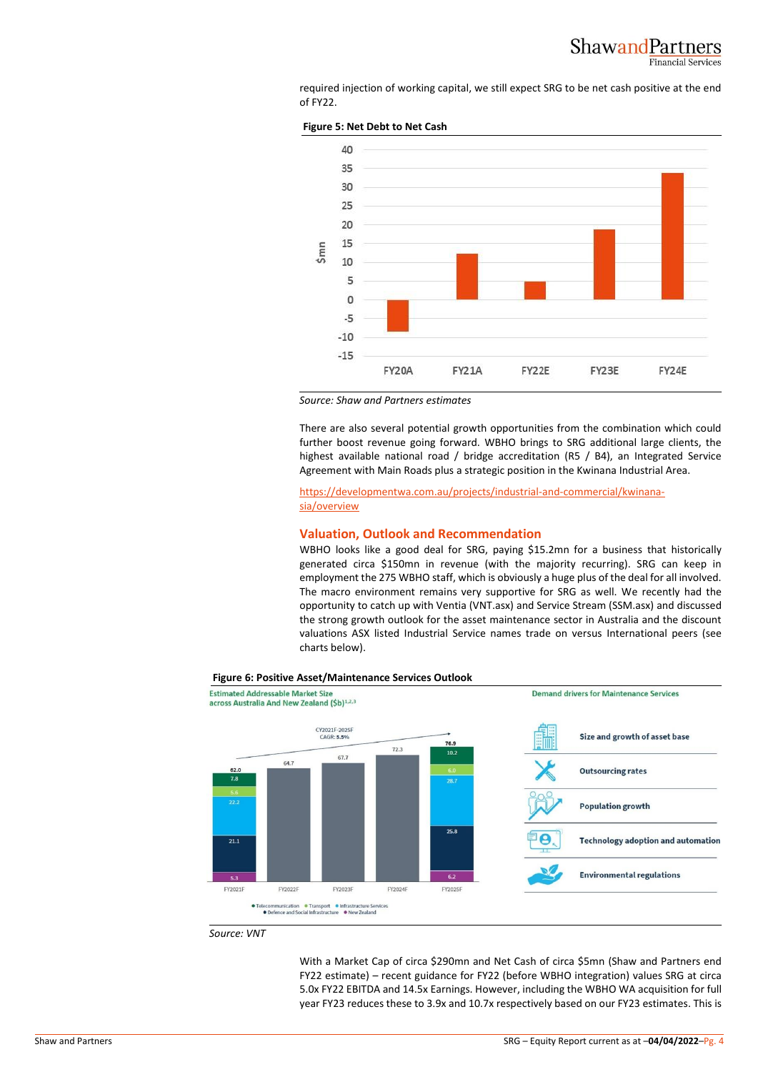

required injection of working capital, we still expect SRG to be net cash positive at the end of FY22.





*Source: Shaw and Partners estimates*

There are also several potential growth opportunities from the combination which could further boost revenue going forward. WBHO brings to SRG additional large clients, the highest available national road / bridge accreditation (R5 / B4), an Integrated Service Agreement with Main Roads plus a strategic position in the Kwinana Industrial Area.

[https://developmentwa.com.au/projects/industrial-and-commercial/kwinana](https://developmentwa.com.au/projects/industrial-and-commercial/kwinana-sia/overview)[sia/overview](https://developmentwa.com.au/projects/industrial-and-commercial/kwinana-sia/overview)

#### **Valuation, Outlook and Recommendation**

WBHO looks like a good deal for SRG, paying \$15.2mn for a business that historically generated circa \$150mn in revenue (with the majority recurring). SRG can keep in employment the 275 WBHO staff, which is obviously a huge plus of the deal for all involved. The macro environment remains very supportive for SRG as well. We recently had the opportunity to catch up with Ventia (VNT.asx) and Service Stream (SSM.asx) and discussed the strong growth outlook for the asset maintenance sector in Australia and the discount valuations ASX listed Industrial Service names trade on versus International peers (see charts below).



#### **Figure 6: Positive Asset/Maintenance Services Outlook**

*Source: VNT*

With a Market Cap of circa \$290mn and Net Cash of circa \$5mn (Shaw and Partners end FY22 estimate) – recent guidance for FY22 (before WBHO integration) values SRG at circa 5.0x FY22 EBITDA and 14.5x Earnings. However, including the WBHO WA acquisition for full year FY23 reduces these to 3.9x and 10.7x respectively based on our FY23 estimates. This is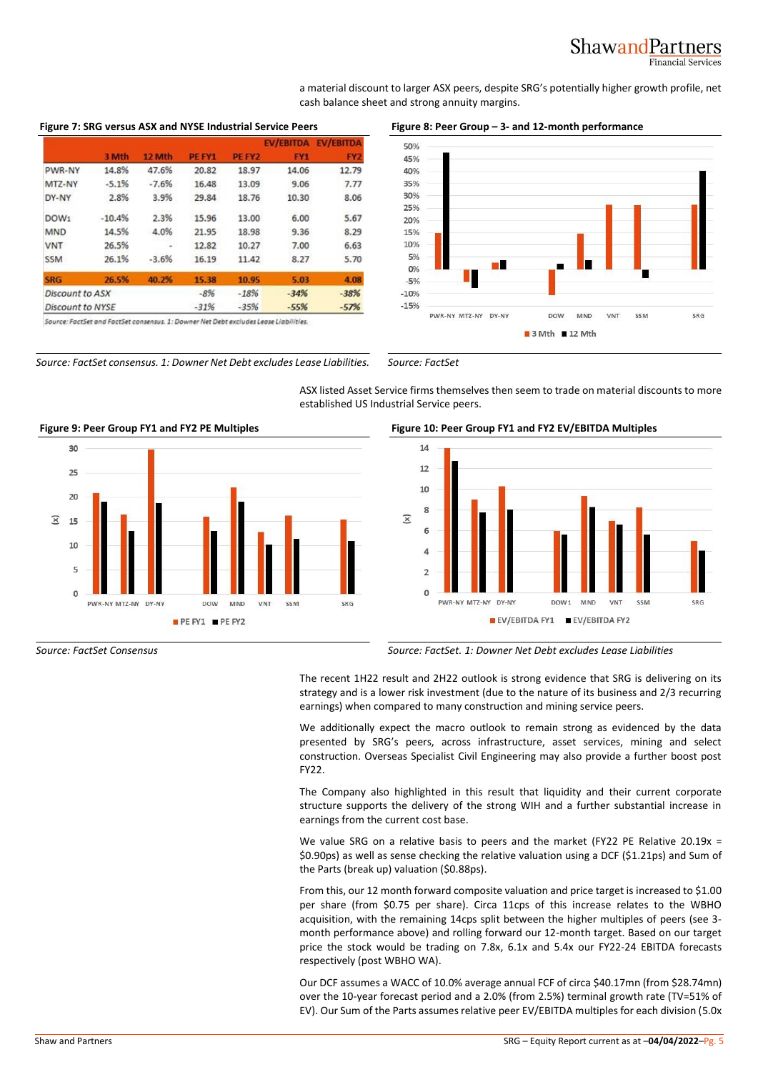#### ShawandPartners **Financial Services**

a material discount to larger ASX peers, despite SRG's potentially higher growth profile, net cash balance sheet and strong annuity margins.

#### **Figure 7: SRG versus ASX and NYSE Industrial Service Peers Figure 8: Peer Group – 3- and 12-month performance**

|                        |          |         |        |        | <b>EV/EBITDA</b> | <b>EV/EBITDA</b> |
|------------------------|----------|---------|--------|--------|------------------|------------------|
|                        | 3 Mth    | 12 Mth  | PE FY1 | PE FY2 | FY <sub>1</sub>  | FY <sub>2</sub>  |
| PWR-NY                 | 14.8%    | 47.6%   | 20.82  | 18.97  | 14.06            | 12.79            |
| MTZ-NY                 | $-5.1%$  | $-7.6%$ | 16.48  | 13.09  | 9.06             | 7.77             |
| DY-NY                  | 2.8%     | 3.9%    | 29.84  | 18.76  | 10.30            | 8.06             |
| DOW <sub>1</sub>       | $-10.4%$ | 2.3%    | 15.96  | 13.00  | 6.00             | 5.67             |
| <b>MND</b>             | 14.5%    | 4.0%    | 21.95  | 18.98  | 9.36             | 8.29             |
| <b>VNT</b>             | 26.5%    |         | 12.82  | 10.27  | 7.00             | 6.63             |
| <b>SSM</b>             | 26.1%    | $-3.6%$ | 16.19  | 11.42  | 8.27             | 5.70             |
| <b>SRG</b>             | 26.5%    | 40.2%   | 15.38  | 10.95  | 5.03             | 4.08             |
| <b>Discount to ASX</b> |          |         | $-8%$  | $-18%$ | $-34%$           | $-38%$           |

 $-35%$ **Discount to NYSE**  $-31%$  $-55%$ 

Source: FactSet and FactSet consensus. 1: Downer Net Debt excludes Lease Liabilities.

*Source: FactSet consensus. 1: Downer Net Debt excludes Lease Liabilities. Source: FactSet*

ASX listed Asset Service firms themselves then seem to trade on material discounts to more established US Industrial Service peers.



-57%

#### **Figure 9: Peer Group FY1 and FY2 PE Multiples Figure 10: Peer Group FY1 and FY2 EV/EBITDA Multiples**

30

25

 $20$ 

15

10

5

 $\overline{0}$ 

 $\widehat{\times}$ 



DOW<sub>1</sub>

EV/EBITDA FY1 EV/EBITDA FY2

MAID

VNT

CCM

SRG

The recent 1H22 result and 2H22 outlook is strong evidence that SRG is delivering on its strategy and is a lower risk investment (due to the nature of its business and 2/3 recurring earnings) when compared to many construction and mining service peers.

DV-MV

PWR-NY MT7-NY

We additionally expect the macro outlook to remain strong as evidenced by the data presented by SRG's peers, across infrastructure, asset services, mining and select construction. Overseas Specialist Civil Engineering may also provide a further boost post FY22.

The Company also highlighted in this result that liquidity and their current corporate structure supports the delivery of the strong WIH and a further substantial increase in earnings from the current cost base.

We value SRG on a relative basis to peers and the market (FY22 PE Relative 20.19x = \$0.90ps) as well as sense checking the relative valuation using a DCF (\$1.21ps) and Sum of the Parts (break up) valuation (\$0.88ps).

From this, our 12 month forward composite valuation and price target is increased to \$1.00 per share (from \$0.75 per share). Circa 11cps of this increase relates to the WBHO acquisition, with the remaining 14cps split between the higher multiples of peers (see 3 month performance above) and rolling forward our 12-month target. Based on our target price the stock would be trading on 7.8x, 6.1x and 5.4x our FY22-24 EBITDA forecasts respectively (post WBHO WA).

Our DCF assumes a WACC of 10.0% average annual FCF of circa \$40.17mn (from \$28.74mn) over the 10-year forecast period and a 2.0% (from 2.5%) terminal growth rate (TV=51% of EV). Our Sum of the Parts assumes relative peer EV/EBITDA multiples for each division (5.0x





#### 50% 45%  $A \cap 96$ 35%

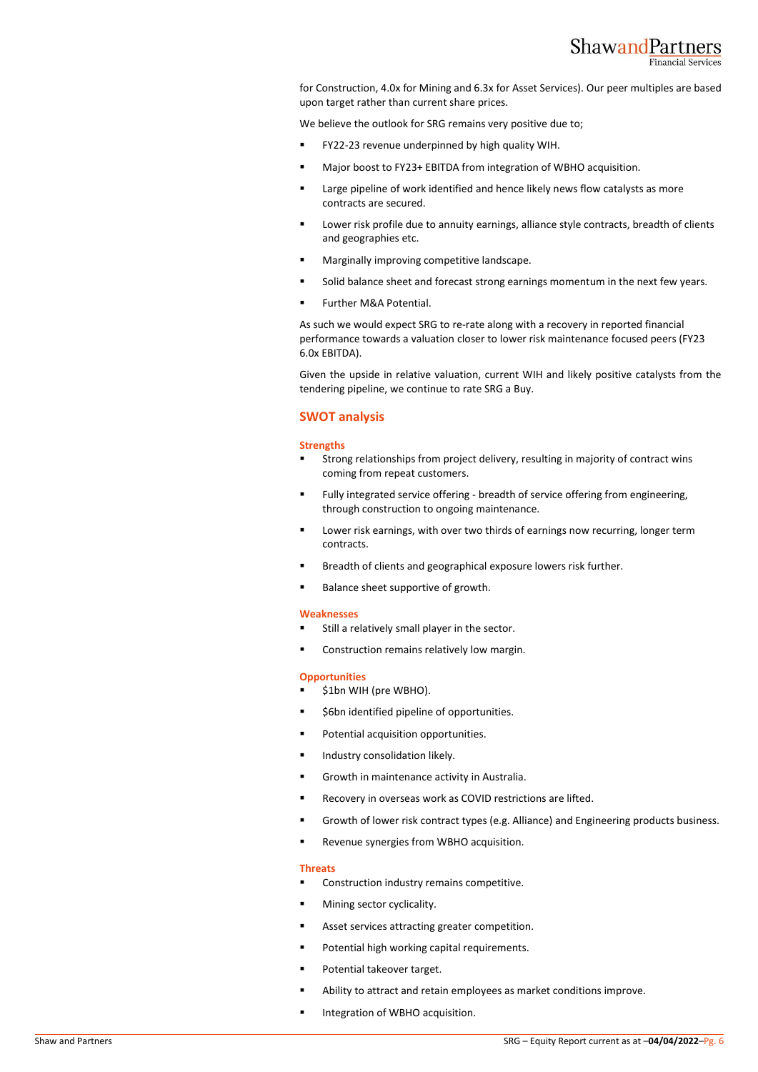

for Construction, 4.0x for Mining and 6.3x for Asset Services). Our peer multiples are based upon target rather than current share prices.

We believe the outlook for SRG remains very positive due to;

- FY22-23 revenue underpinned by high quality WIH.
- Major boost to FY23+ EBITDA from integration of WBHO acquisition.
- Large pipeline of work identified and hence likely news flow catalysts as more contracts are secured.
- Lower risk profile due to annuity earnings, alliance style contracts, breadth of clients and geographies etc.
- Marginally improving competitive landscape.
- Solid balance sheet and forecast strong earnings momentum in the next few years.
- Further M&A Potential.

As such we would expect SRG to re-rate along with a recovery in reported financial performance towards a valuation closer to lower risk maintenance focused peers (FY23 6.0x EBITDA).

Given the upside in relative valuation, current WIH and likely positive catalysts from the tendering pipeline, we continue to rate SRG a Buy.

#### **SWOT analysis**

#### **Strengths**

- Strong relationships from project delivery, resulting in majority of contract wins coming from repeat customers.
- Fully integrated service offering breadth of service offering from engineering, through construction to ongoing maintenance.
- Lower risk earnings, with over two thirds of earnings now recurring, longer term contracts.
- Breadth of clients and geographical exposure lowers risk further.
- Balance sheet supportive of growth.

#### **Weaknesses**

- Still a relatively small player in the sector.
- Construction remains relatively low margin.

#### **Opportunities**

- \$1bn WIH (pre WBHO).
- \$6bn identified pipeline of opportunities.
- Potential acquisition opportunities.
- Industry consolidation likely.
- Growth in maintenance activity in Australia.
- Recovery in overseas work as COVID restrictions are lifted.
- Growth of lower risk contract types (e.g. Alliance) and Engineering products business.
- Revenue synergies from WBHO acquisition.

#### **Threats**

- Construction industry remains competitive.
- Mining sector cyclicality.
- Asset services attracting greater competition.
- Potential high working capital requirements.
- Potential takeover target.
- Ability to attract and retain employees as market conditions improve.
- Integration of WBHO acquisition.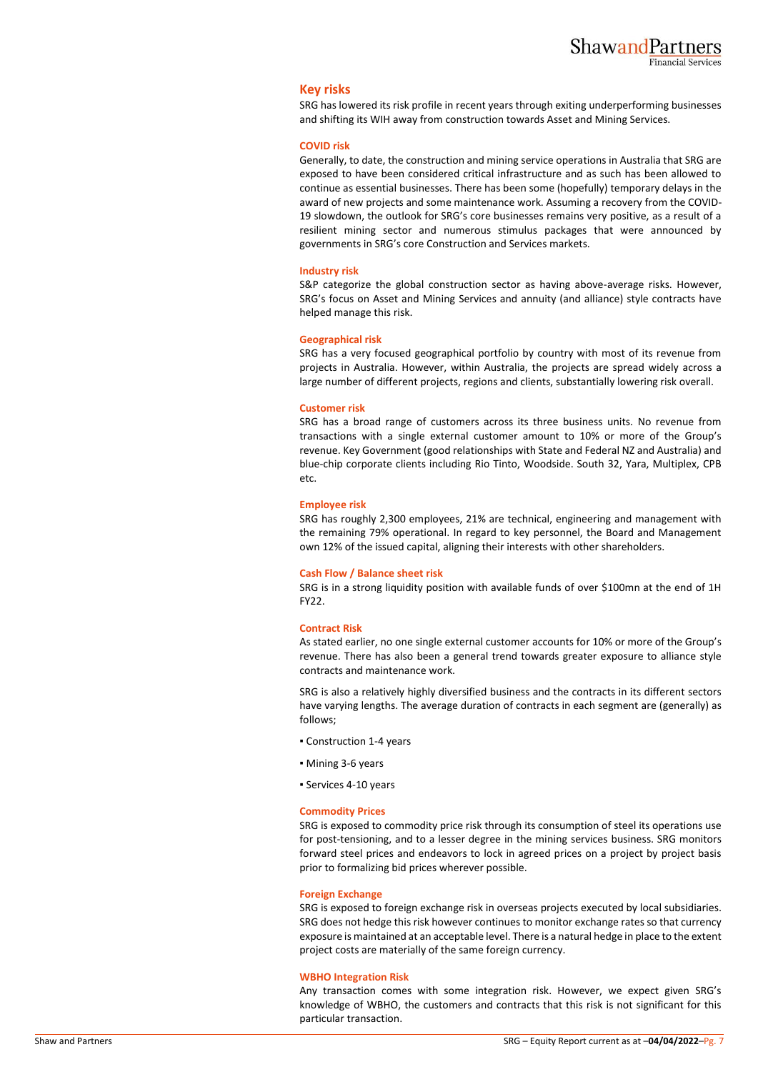#### **Key risks**

SRG has lowered its risk profile in recent years through exiting underperforming businesses and shifting its WIH away from construction towards Asset and Mining Services.

#### **COVID risk**

Generally, to date, the construction and mining service operations in Australia that SRG are exposed to have been considered critical infrastructure and as such has been allowed to continue as essential businesses. There has been some (hopefully) temporary delays in the award of new projects and some maintenance work. Assuming a recovery from the COVID-19 slowdown, the outlook for SRG's core businesses remains very positive, as a result of a resilient mining sector and numerous stimulus packages that were announced by governments in SRG's core Construction and Services markets.

#### **Industry risk**

S&P categorize the global construction sector as having above-average risks. However, SRG's focus on Asset and Mining Services and annuity (and alliance) style contracts have helped manage this risk.

#### **Geographical risk**

SRG has a very focused geographical portfolio by country with most of its revenue from projects in Australia. However, within Australia, the projects are spread widely across a large number of different projects, regions and clients, substantially lowering risk overall.

#### **Customer risk**

SRG has a broad range of customers across its three business units. No revenue from transactions with a single external customer amount to 10% or more of the Group's revenue. Key Government (good relationships with State and Federal NZ and Australia) and blue-chip corporate clients including Rio Tinto, Woodside. South 32, Yara, Multiplex, CPB etc.

#### **Employee risk**

SRG has roughly 2,300 employees, 21% are technical, engineering and management with the remaining 79% operational. In regard to key personnel, the Board and Management own 12% of the issued capital, aligning their interests with other shareholders.

#### **Cash Flow / Balance sheet risk**

SRG is in a strong liquidity position with available funds of over \$100mn at the end of 1H FY22.

#### **Contract Risk**

As stated earlier, no one single external customer accounts for 10% or more of the Group's revenue. There has also been a general trend towards greater exposure to alliance style contracts and maintenance work.

SRG is also a relatively highly diversified business and the contracts in its different sectors have varying lengths. The average duration of contracts in each segment are (generally) as follows;

- Construction 1-4 years
- Mining 3-6 years
- Services 4-10 years

#### **Commodity Prices**

SRG is exposed to commodity price risk through its consumption of steel its operations use for post-tensioning, and to a lesser degree in the mining services business. SRG monitors forward steel prices and endeavors to lock in agreed prices on a project by project basis prior to formalizing bid prices wherever possible.

#### **Foreign Exchange**

SRG is exposed to foreign exchange risk in overseas projects executed by local subsidiaries. SRG does not hedge this risk however continues to monitor exchange rates so that currency exposure is maintained at an acceptable level. There is a natural hedge in place to the extent project costs are materially of the same foreign currency.

#### **WBHO Integration Risk**

Any transaction comes with some integration risk. However, we expect given SRG's knowledge of WBHO, the customers and contracts that this risk is not significant for this particular transaction.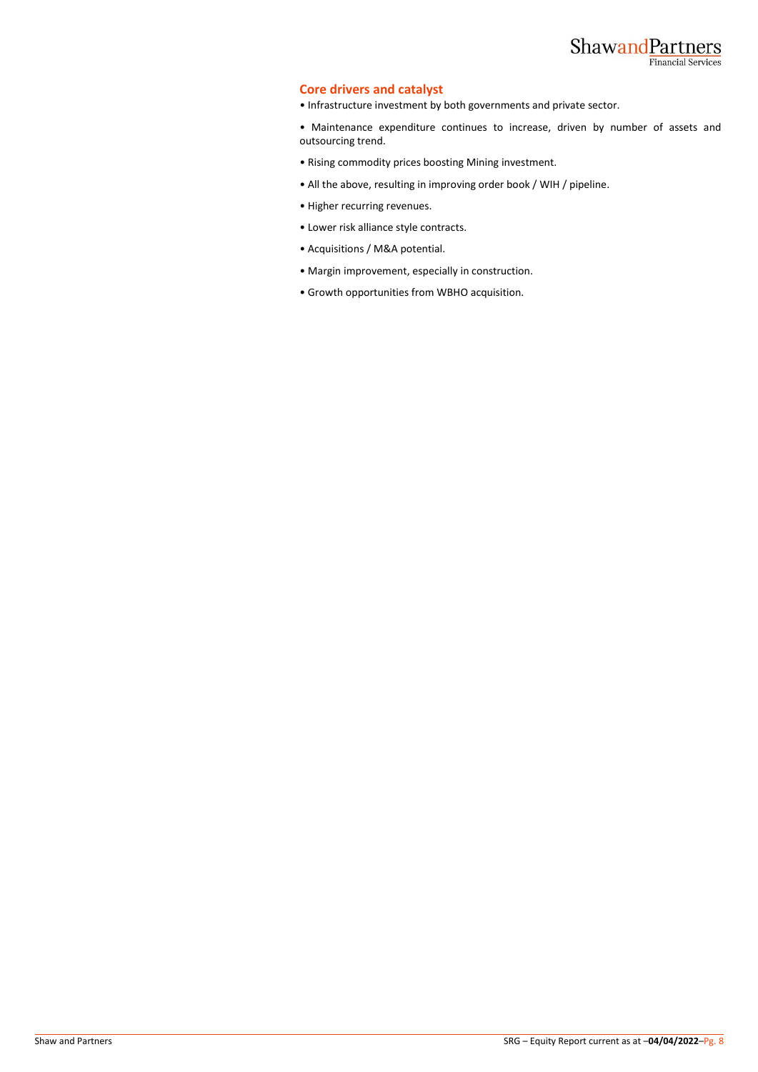## ShawandPartners **Financial Services**

### **Core drivers and catalyst**

• Infrastructure investment by both governments and private sector.

• Maintenance expenditure continues to increase, driven by number of assets and outsourcing trend.

- Rising commodity prices boosting Mining investment.
- All the above, resulting in improving order book / WIH / pipeline.
- Higher recurring revenues.
- Lower risk alliance style contracts.
- Acquisitions / M&A potential.
- Margin improvement, especially in construction.
- Growth opportunities from WBHO acquisition.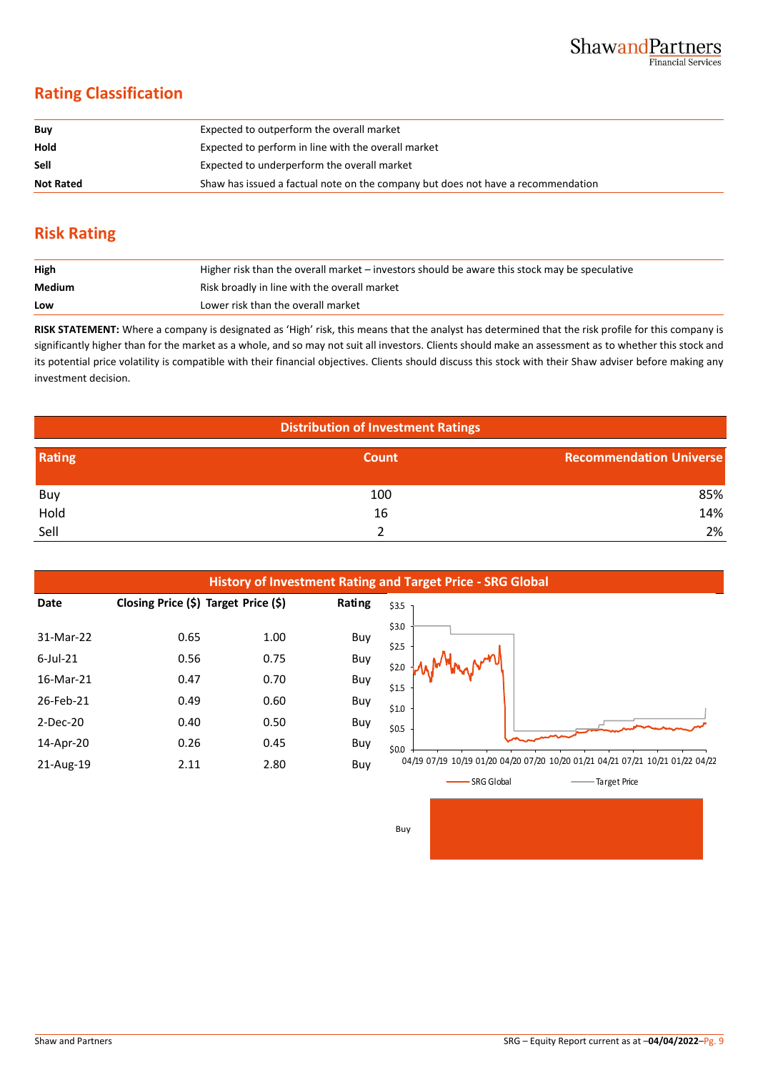## **Rating Classification**

| Buy              | Expected to outperform the overall market                                        |
|------------------|----------------------------------------------------------------------------------|
| Hold             | Expected to perform in line with the overall market                              |
| <b>Sell</b>      | Expected to underperform the overall market                                      |
| <b>Not Rated</b> | Shaw has issued a factual note on the company but does not have a recommendation |

## **Risk Rating**

| High   | Higher risk than the overall market – investors should be aware this stock may be speculative |
|--------|-----------------------------------------------------------------------------------------------|
| Medium | Risk broadly in line with the overall market                                                  |
| Low    | Lower risk than the overall market                                                            |

**RISK STATEMENT:** Where a company is designated as 'High' risk, this means that the analyst has determined that the risk profile for this company is significantly higher than for the market as a whole, and so may not suit all investors. Clients should make an assessment as to whether this stock and its potential price volatility is compatible with their financial objectives. Clients should discuss this stock with their Shaw adviser before making any investment decision.

| <b>Distribution of Investment Ratings</b> |       |                                |  |  |  |  |
|-------------------------------------------|-------|--------------------------------|--|--|--|--|
| Rating                                    | Count | <b>Recommendation Universe</b> |  |  |  |  |
| Buy                                       | 100   | 85%                            |  |  |  |  |
| Hold                                      | 16    | 14%                            |  |  |  |  |
| Sell                                      |       | 2%                             |  |  |  |  |